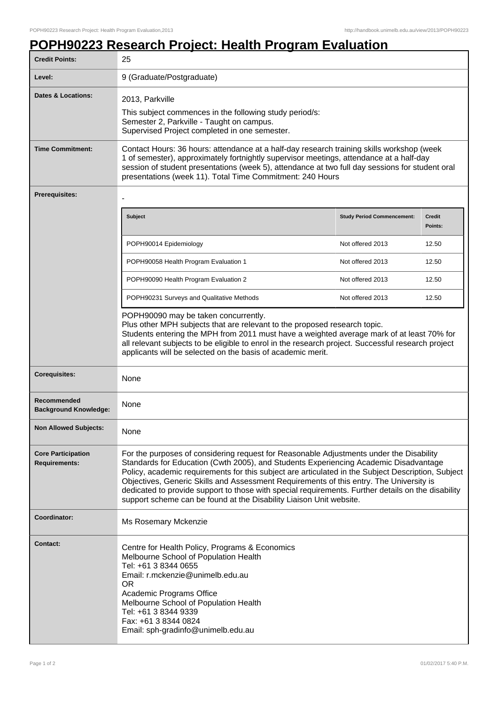## **POPH90223 Research Project: Health Program Evaluation**

| <b>Credit Points:</b>                             | 25                                                                                                                                                                                                                                                                                                                                                                                                                                                                                                                                                            |                                   |                          |
|---------------------------------------------------|---------------------------------------------------------------------------------------------------------------------------------------------------------------------------------------------------------------------------------------------------------------------------------------------------------------------------------------------------------------------------------------------------------------------------------------------------------------------------------------------------------------------------------------------------------------|-----------------------------------|--------------------------|
| Level:                                            | 9 (Graduate/Postgraduate)                                                                                                                                                                                                                                                                                                                                                                                                                                                                                                                                     |                                   |                          |
| <b>Dates &amp; Locations:</b>                     | 2013, Parkville<br>This subject commences in the following study period/s:<br>Semester 2, Parkville - Taught on campus.<br>Supervised Project completed in one semester.                                                                                                                                                                                                                                                                                                                                                                                      |                                   |                          |
| <b>Time Commitment:</b>                           | Contact Hours: 36 hours: attendance at a half-day research training skills workshop (week<br>1 of semester), approximately fortnightly supervisor meetings, attendance at a half-day<br>session of student presentations (week 5), attendance at two full day sessions for student oral<br>presentations (week 11). Total Time Commitment: 240 Hours                                                                                                                                                                                                          |                                   |                          |
| <b>Prerequisites:</b>                             |                                                                                                                                                                                                                                                                                                                                                                                                                                                                                                                                                               |                                   |                          |
|                                                   | <b>Subject</b>                                                                                                                                                                                                                                                                                                                                                                                                                                                                                                                                                | <b>Study Period Commencement:</b> | <b>Credit</b><br>Points: |
|                                                   | POPH90014 Epidemiology                                                                                                                                                                                                                                                                                                                                                                                                                                                                                                                                        | Not offered 2013                  | 12.50                    |
|                                                   | POPH90058 Health Program Evaluation 1                                                                                                                                                                                                                                                                                                                                                                                                                                                                                                                         | Not offered 2013                  | 12.50                    |
|                                                   | POPH90090 Health Program Evaluation 2                                                                                                                                                                                                                                                                                                                                                                                                                                                                                                                         | Not offered 2013                  | 12.50                    |
|                                                   | POPH90231 Surveys and Qualitative Methods                                                                                                                                                                                                                                                                                                                                                                                                                                                                                                                     | Not offered 2013                  | 12.50                    |
|                                                   | POPH90090 may be taken concurrently.<br>Plus other MPH subjects that are relevant to the proposed research topic.<br>Students entering the MPH from 2011 must have a weighted average mark of at least 70% for<br>all relevant subjects to be eligible to enrol in the research project. Successful research project<br>applicants will be selected on the basis of academic merit.                                                                                                                                                                           |                                   |                          |
| <b>Corequisites:</b>                              | None                                                                                                                                                                                                                                                                                                                                                                                                                                                                                                                                                          |                                   |                          |
| Recommended<br><b>Background Knowledge:</b>       | None                                                                                                                                                                                                                                                                                                                                                                                                                                                                                                                                                          |                                   |                          |
| <b>Non Allowed Subjects:</b>                      | None                                                                                                                                                                                                                                                                                                                                                                                                                                                                                                                                                          |                                   |                          |
| <b>Core Participation</b><br><b>Requirements:</b> | For the purposes of considering request for Reasonable Adjustments under the Disability<br>Standards for Education (Cwth 2005), and Students Experiencing Academic Disadvantage<br>Policy, academic requirements for this subject are articulated in the Subject Description, Subject<br>Objectives, Generic Skills and Assessment Requirements of this entry. The University is<br>dedicated to provide support to those with special requirements. Further details on the disability<br>support scheme can be found at the Disability Liaison Unit website. |                                   |                          |
| Coordinator:                                      | Ms Rosemary Mckenzie                                                                                                                                                                                                                                                                                                                                                                                                                                                                                                                                          |                                   |                          |
| <b>Contact:</b>                                   | Centre for Health Policy, Programs & Economics<br>Melbourne School of Population Health<br>Tel: +61 3 8344 0655<br>Email: r.mckenzie@unimelb.edu.au<br><b>OR</b><br>Academic Programs Office<br>Melbourne School of Population Health<br>Tel: +61 3 8344 9339<br>Fax: +61 3 8344 0824<br>Email: sph-gradinfo@unimelb.edu.au                                                                                                                                                                                                                                   |                                   |                          |